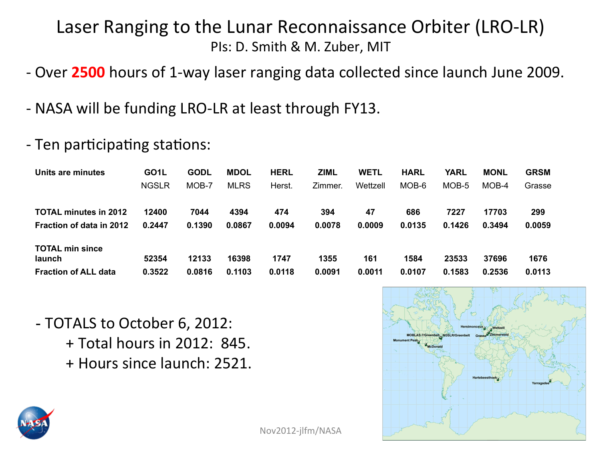## Laser Ranging to the Lunar Reconnaissance Orbiter (LRO-LR) PIs: D. Smith & M. Zuber, MIT

- Over 2500 hours of 1-way laser ranging data collected since launch June 2009.
- NASA will be funding LRO-LR at least through FY13.
- Ten participating stations:

| Units are minutes               | GO <sub>1</sub> L | <b>GODL</b> | <b>MDOL</b> | <b>HERL</b> | ZIML    | <b>WETL</b> | <b>HARL</b> | <b>YARL</b> | <b>MONL</b> | <b>GRSM</b> |
|---------------------------------|-------------------|-------------|-------------|-------------|---------|-------------|-------------|-------------|-------------|-------------|
|                                 | <b>NGSLR</b>      | MOB-7       | <b>MLRS</b> | Herst.      | Zimmer. | Wettzell    | MOB-6       | MOB-5       | MOB-4       | Grasse      |
| <b>TOTAL minutes in 2012</b>    | 12400             | 7044        | 4394        | 474         | 394     | 47          | 686         | 7227        | 17703       | 299         |
| <b>Fraction of data in 2012</b> | 0.2447            | 0.1390      | 0.0867      | 0.0094      | 0.0078  | 0.0009      | 0.0135      | 0.1426      | 0.3494      | 0.0059      |
| <b>TOTAL min since</b>          |                   |             |             |             |         |             |             |             |             |             |
| launch                          | 52354             | 12133       | 16398       | 1747        | 1355    | 161         | 1584        | 23533       | 37696       | 1676        |
| <b>Fraction of ALL data</b>     | 0.3522            | 0.0816      | 0.1103      | 0.0118      | 0.0091  | 0.0011      | 0.0107      | 0.1583      | 0.2536      | 0.0113      |

- TOTALS to October 6, 2012:
	- + Total hours in 2012: 845. + Hours since launch: 2521.



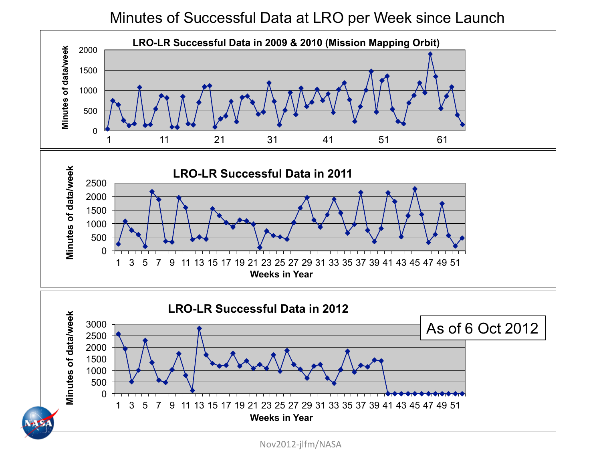Minutes of Successful Data at LRO per Week since Launch



Nov2012-jlfm/NASA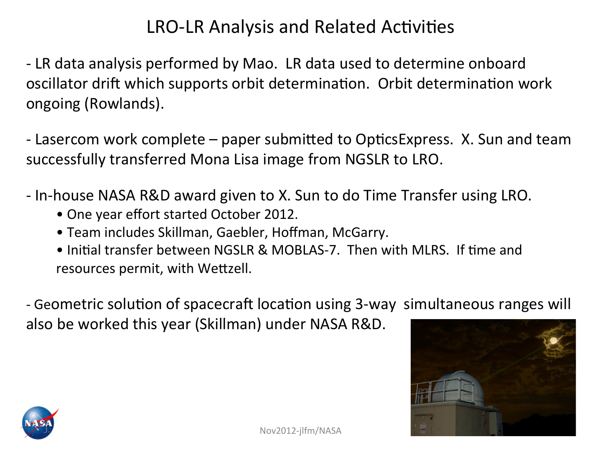## LRO-LR Analysis and Related Activities

- LR data analysis performed by Mao. LR data used to determine onboard oscillator drift which supports orbit determination. Orbit determination work ongoing (Rowlands).

- Lasercom work complete – paper submitted to OpticsExpress. X. Sun and team successfully transferred Mona Lisa image from NGSLR to LRO.

- In-house NASA R&D award given to X. Sun to do Time Transfer using LRO.

- One year effort started October 2012.
- Team includes Skillman, Gaebler, Hoffman, McGarry.
- Initial transfer between NGSLR & MOBLAS-7. Then with MLRS. If time and resources permit, with Wettzell.

- Geometric solution of spacecraft location using 3-way simultaneous ranges will also be worked this year (Skillman) under NASA R&D.



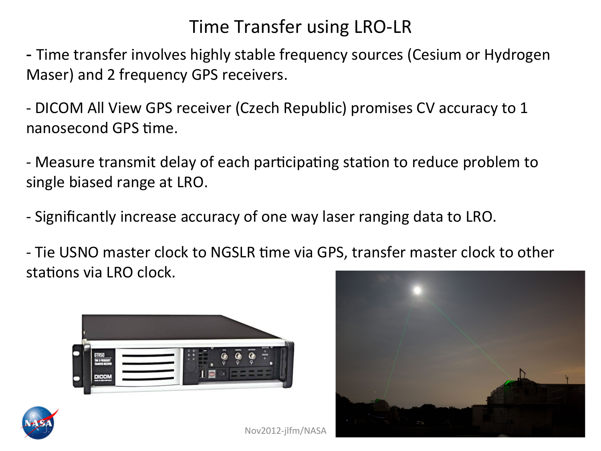## Time Transfer using LRO-LR

- Time transfer involves highly stable frequency sources (Cesium or Hydrogen Maser) and 2 frequency GPS receivers.

- DICOM All View GPS receiver (Czech Republic) promises CV accuracy to 1 nanosecond GPS time.

- Measure transmit delay of each participating station to reduce problem to single biased range at LRO.

- Significantly increase accuracy of one way laser ranging data to LRO.

- Tie USNO master clock to NGSLR time via GPS, transfer master clock to other stations via LRO clock.